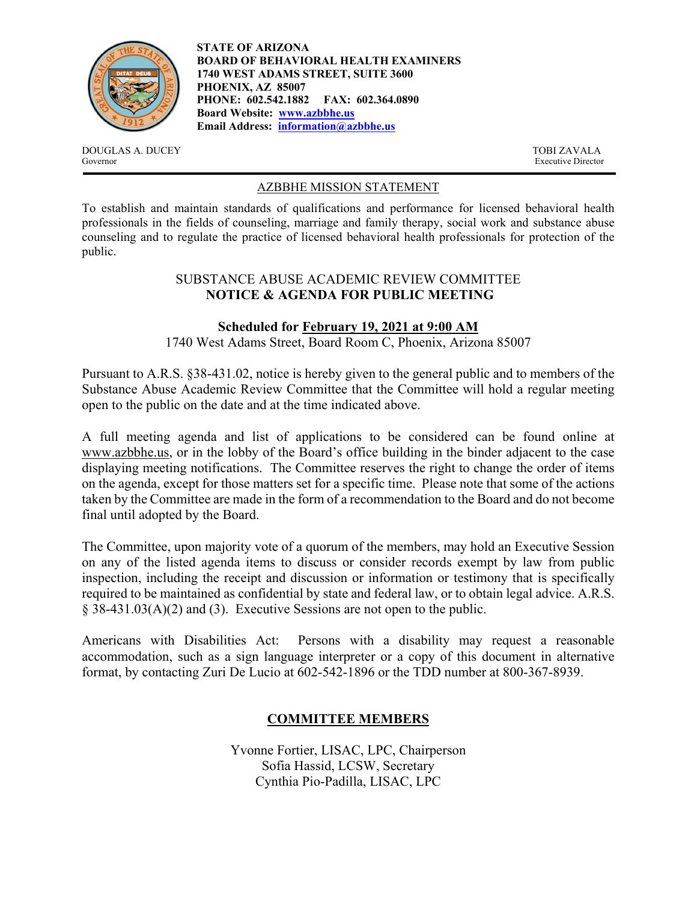

**STATE OF ARIZONA BOARD OF BEHAVIORAL HEALTH EXAMINERS 1740 WEST ADAMS STREET, SUITE 3600 PHOENIX, AZ 85007 PHONE: 602.542.1882 FAX: 602.364.0890 Board Website: www.azbbhe.us Email Address: information@azbbhe.us**

DOUGLAS A. DUCEY TOBI ZAVALA Governor Executive Director

### AZBBHE MISSION STATEMENT

To establish and maintain standards of qualifications and performance for licensed behavioral health professionals in the fields of counseling, marriage and family therapy, social work and substance abuse counseling and to regulate the practice of licensed behavioral health professionals for protection of the public.

#### SUBSTANCE ABUSE ACADEMIC REVIEW COMMITTEE **NOTICE & AGENDA FOR PUBLIC MEETING**

#### **Scheduled for February 19, 2021 at 9:00 AM**

1740 West Adams Street, Board Room C, Phoenix, Arizona 85007

Pursuant to A.R.S. §38-431.02, notice is hereby given to the general public and to members of the Substance Abuse Academic Review Committee that the Committee will hold a regular meeting open to the public on the date and at the time indicated above.

A full meeting agenda and list of applications to be considered can be found online at www.azbbhe.us, or in the lobby of the Board's office building in the binder adjacent to the case displaying meeting notifications. The Committee reserves the right to change the order of items on the agenda, except for those matters set for a specific time. Please note that some of the actions taken by the Committee are made in the form of a recommendation to the Board and do not become final until adopted by the Board.

The Committee, upon majority vote of a quorum of the members, may hold an Executive Session on any of the listed agenda items to discuss or consider records exempt by law from public inspection, including the receipt and discussion or information or testimony that is specifically required to be maintained as confidential by state and federal law, or to obtain legal advice. A.R.S. § 38-431.03(A)(2) and (3). Executive Sessions are not open to the public.

Americans with Disabilities Act: Persons with a disability may request a reasonable accommodation, such as a sign language interpreter or a copy of this document in alternative format, by contacting Zuri De Lucio at 602-542-1896 or the TDD number at 800-367-8939.

# **COMMITTEE MEMBERS**

Yvonne Fortier, LISAC, LPC, Chairperson Sofia Hassid, LCSW, Secretary Cynthia Pio-Padilla, LISAC, LPC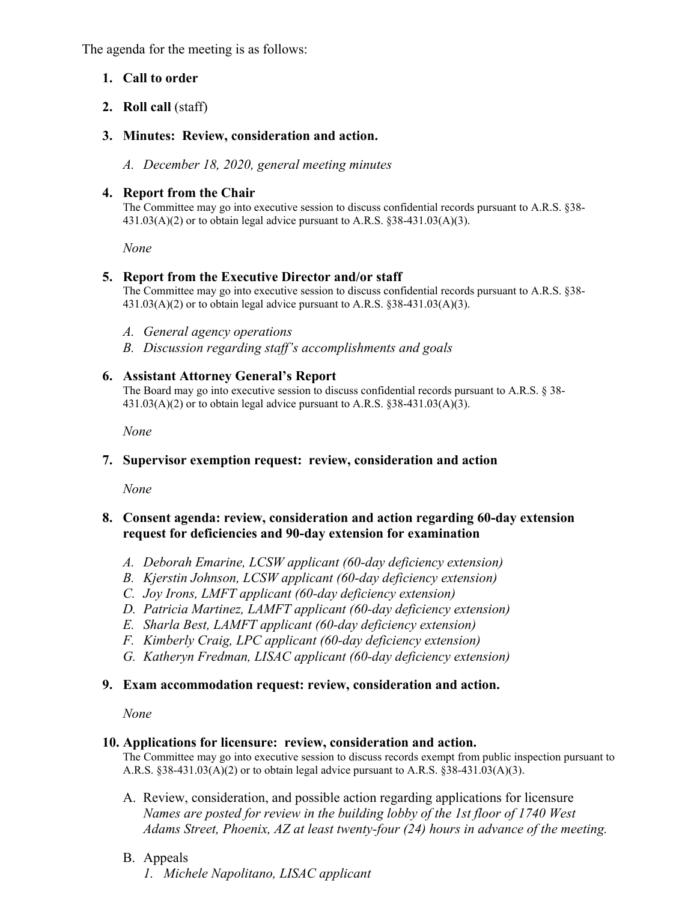The agenda for the meeting is as follows:

# **1. Call to order**

**2. Roll call** (staff)

# **3. Minutes: Review, consideration and action.**

*A. December 18, 2020, general meeting minutes* 

# **4. Report from the Chair**

The Committee may go into executive session to discuss confidential records pursuant to A.R.S. §38-  $431.03(A)(2)$  or to obtain legal advice pursuant to A.R.S. §38-431.03(A)(3).

 *None* 

# **5. Report from the Executive Director and/or staff**

The Committee may go into executive session to discuss confidential records pursuant to A.R.S. §38- 431.03(A)(2) or to obtain legal advice pursuant to A.R.S. §38-431.03(A)(3).

- *A. General agency operations*
- *B. Discussion regarding staff's accomplishments and goals*

# **6. Assistant Attorney General's Report**

The Board may go into executive session to discuss confidential records pursuant to A.R.S. § 38-  $431.03(A)(2)$  or to obtain legal advice pursuant to A.R.S. §38-431.03(A)(3).

 *None* 

# **7. Supervisor exemption request: review, consideration and action**

*None* 

### **8. Consent agenda: review, consideration and action regarding 60-day extension request for deficiencies and 90-day extension for examination**

- *A. Deborah Emarine, LCSW applicant (60-day deficiency extension)*
- *B. Kjerstin Johnson, LCSW applicant (60-day deficiency extension)*
- *C. Joy Irons, LMFT applicant (60-day deficiency extension)*
- *D. Patricia Martinez, LAMFT applicant (60-day deficiency extension)*
- *E. Sharla Best, LAMFT applicant (60-day deficiency extension)*
- *F. Kimberly Craig, LPC applicant (60-day deficiency extension)*
- *G. Katheryn Fredman, LISAC applicant (60-day deficiency extension)*

# **9. Exam accommodation request: review, consideration and action.**

*None* 

#### **10. Applications for licensure: review, consideration and action.**

The Committee may go into executive session to discuss records exempt from public inspection pursuant to A.R.S. §38-431.03(A)(2) or to obtain legal advice pursuant to A.R.S. §38-431.03(A)(3).

- A. Review, consideration, and possible action regarding applications for licensure  *Names are posted for review in the building lobby of the 1st floor of 1740 West Adams Street, Phoenix, AZ at least twenty-four (24) hours in advance of the meeting.*
- B. Appeals
	- *1. Michele Napolitano, LISAC applicant*